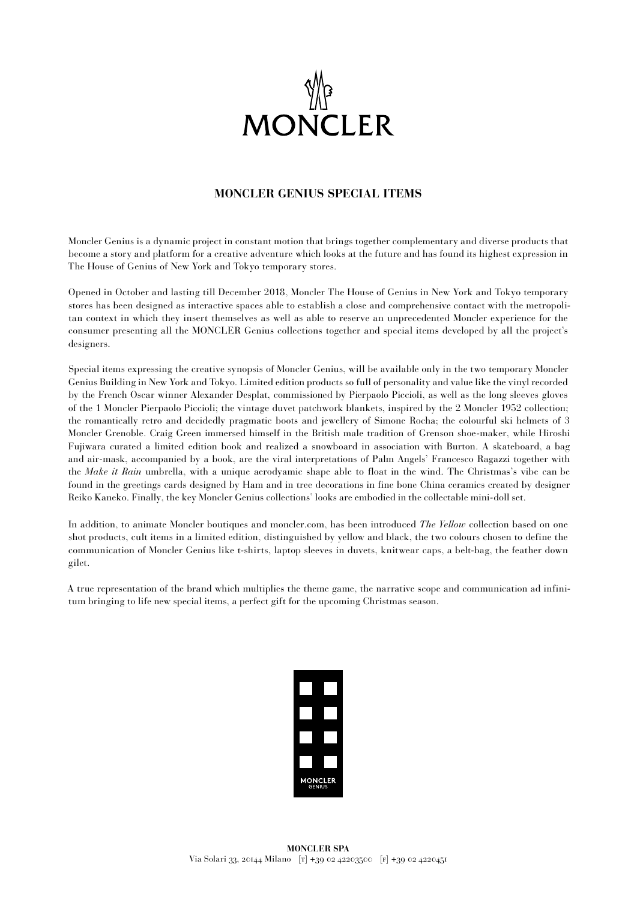

## **MONCLER GENIUS SPECIAL ITEMS**

Moncler Genius is a dynamic project in constant motion that brings together complementary and diverse products that become a story and platform for a creative adventure which looks at the future and has found its highest expression in The House of Genius of New York and Tokyo temporary stores.

Opened in October and lasting till December 2018, Moncler The House of Genius in New York and Tokyo temporary stores has been designed as interactive spaces able to establish a close and comprehensive contact with the metropolitan context in which they insert themselves as well as able to reserve an unprecedented Moncler experience for the consumer presenting all the MONCLER Genius collections together and special items developed by all the project's designers.

Special items expressing the creative synopsis of Moncler Genius, will be available only in the two temporary Moncler Genius Building in New York and Tokyo. Limited edition products so full of personality and value like the vinyl recorded by the French Oscar winner Alexander Desplat, commissioned by Pierpaolo Piccioli, as well as the long sleeves gloves of the 1 Moncler Pierpaolo Piccioli; the vintage duvet patchwork blankets, inspired by the 2 Moncler 1952 collection; the romantically retro and decidedly pragmatic boots and jewellery of Simone Rocha; the colourful ski helmets of 3 Moncler Grenoble. Craig Green immersed himself in the British male tradition of Grenson shoe-maker, while Hiroshi Fujiwara curated a limited edition book and realized a snowboard in association with Burton. A skateboard, a bag and air-mask, accompanied by a book, are the viral interpretations of Palm Angels' Francesco Ragazzi together with the *Make it Rain* umbrella, with a unique aerodyamic shape able to float in the wind. The Christmas's vibe can be found in the greetings cards designed by Ham and in tree decorations in fine bone China ceramics created by designer Reiko Kaneko. Finally, the key Moncler Genius collections' looks are embodied in the collectable mini-doll set.

In addition, to animate Moncler boutiques and moncler.com, has been introduced *The Yellow* collection based on one shot products, cult items in a limited edition, distinguished by yellow and black, the two colours chosen to define the communication of Moncler Genius like t-shirts, laptop sleeves in duvets, knitwear caps, a belt-bag, the feather down gilet.

A true representation of the brand which multiplies the theme game, the narrative scope and communication ad infinitum bringing to life new special items, a perfect gift for the upcoming Christmas season.